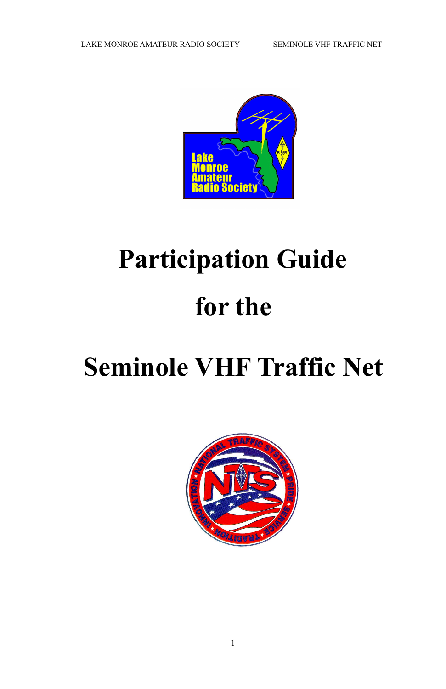

# **Participation Guide for the**

# **Seminole VHF Traffic Net**



 $\overline{1}$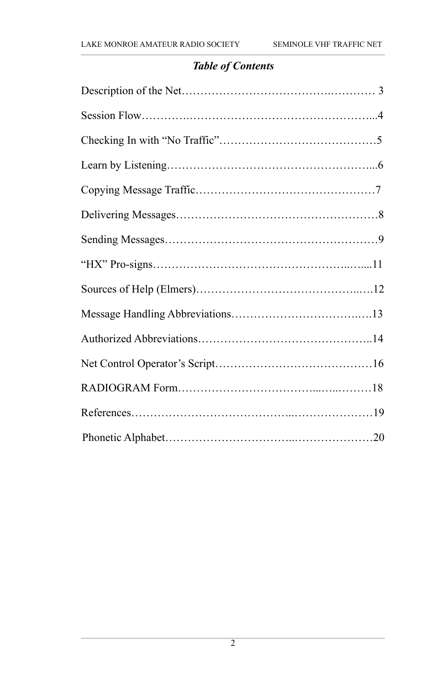# *Table of Contents*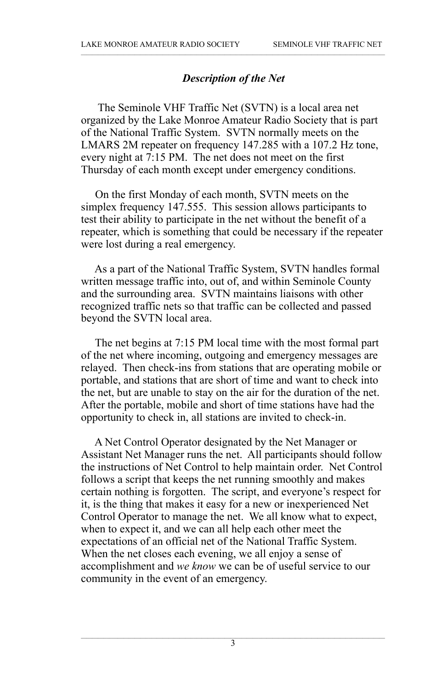#### *Description of the Net*

 The Seminole VHF Traffic Net (SVTN) is a local area net organized by the Lake Monroe Amateur Radio Society that is part of the National Traffic System. SVTN normally meets on the LMARS 2M repeater on frequency 147.285 with a 107.2 Hz tone, every night at 7:15 PM. The net does not meet on the first Thursday of each month except under emergency conditions.

 On the first Monday of each month, SVTN meets on the simplex frequency 147.555. This session allows participants to test their ability to participate in the net without the benefit of a repeater, which is something that could be necessary if the repeater were lost during a real emergency.

 As a part of the National Traffic System, SVTN handles formal written message traffic into, out of, and within Seminole County and the surrounding area. SVTN maintains liaisons with other recognized traffic nets so that traffic can be collected and passed beyond the SVTN local area.

 The net begins at 7:15 PM local time with the most formal part of the net where incoming, outgoing and emergency messages are relayed. Then check-ins from stations that are operating mobile or portable, and stations that are short of time and want to check into the net, but are unable to stay on the air for the duration of the net. After the portable, mobile and short of time stations have had the opportunity to check in, all stations are invited to check-in.

 A Net Control Operator designated by the Net Manager or Assistant Net Manager runs the net. All participants should follow the instructions of Net Control to help maintain order. Net Control follows a script that keeps the net running smoothly and makes certain nothing is forgotten. The script, and everyone's respect for it, is the thing that makes it easy for a new or inexperienced Net Control Operator to manage the net. We all know what to expect, when to expect it, and we can all help each other meet the expectations of an official net of the National Traffic System. When the net closes each evening, we all enjoy a sense of accomplishment and *we know* we can be of useful service to our community in the event of an emergency.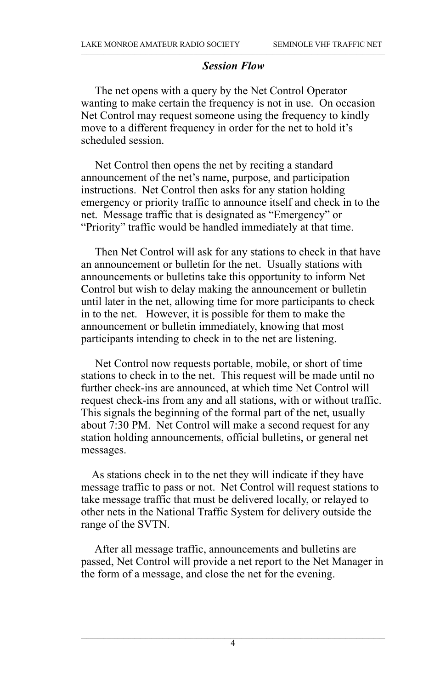#### *Session Flow*

 The net opens with a query by the Net Control Operator wanting to make certain the frequency is not in use. On occasion Net Control may request someone using the frequency to kindly move to a different frequency in order for the net to hold it's scheduled session.

 Net Control then opens the net by reciting a standard announcement of the net's name, purpose, and participation instructions. Net Control then asks for any station holding emergency or priority traffic to announce itself and check in to the net. Message traffic that is designated as "Emergency" or "Priority" traffic would be handled immediately at that time.

 Then Net Control will ask for any stations to check in that have an announcement or bulletin for the net. Usually stations with announcements or bulletins take this opportunity to inform Net Control but wish to delay making the announcement or bulletin until later in the net, allowing time for more participants to check in to the net. However, it is possible for them to make the announcement or bulletin immediately, knowing that most participants intending to check in to the net are listening.

 Net Control now requests portable, mobile, or short of time stations to check in to the net. This request will be made until no further check-ins are announced, at which time Net Control will request check-ins from any and all stations, with or without traffic. This signals the beginning of the formal part of the net, usually about 7:30 PM. Net Control will make a second request for any station holding announcements, official bulletins, or general net messages.

 As stations check in to the net they will indicate if they have message traffic to pass or not. Net Control will request stations to take message traffic that must be delivered locally, or relayed to other nets in the National Traffic System for delivery outside the range of the SVTN.

 After all message traffic, announcements and bulletins are passed, Net Control will provide a net report to the Net Manager in the form of a message, and close the net for the evening.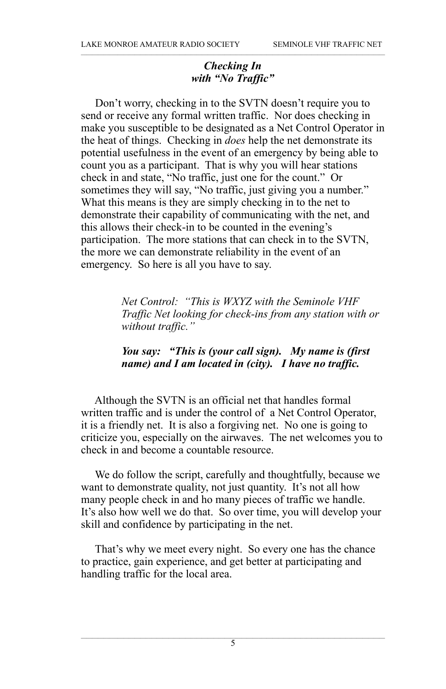#### *Checking In with "No Traffic"*

 Don't worry, checking in to the SVTN doesn't require you to send or receive any formal written traffic. Nor does checking in make you susceptible to be designated as a Net Control Operator in the heat of things. Checking in *does* help the net demonstrate its potential usefulness in the event of an emergency by being able to count you as a participant. That is why you will hear stations check in and state, "No traffic, just one for the count." Or sometimes they will say, "No traffic, just giving you a number." What this means is they are simply checking in to the net to demonstrate their capability of communicating with the net, and this allows their check-in to be counted in the evening's participation. The more stations that can check in to the SVTN, the more we can demonstrate reliability in the event of an emergency. So here is all you have to say.

> *Net Control: "This is WXYZ with the Seminole VHF Traffic Net looking for check-ins from any station with or without traffic."*

#### *You say: "This is (your call sign). My name is (first name) and I am located in (city). I have no traffic.*

 Although the SVTN is an official net that handles formal written traffic and is under the control of a Net Control Operator, it is a friendly net. It is also a forgiving net. No one is going to criticize you, especially on the airwaves. The net welcomes you to check in and become a countable resource.

 We do follow the script, carefully and thoughtfully, because we want to demonstrate quality, not just quantity. It's not all how many people check in and ho many pieces of traffic we handle. It's also how well we do that. So over time, you will develop your skill and confidence by participating in the net.

 That's why we meet every night. So every one has the chance to practice, gain experience, and get better at participating and handling traffic for the local area.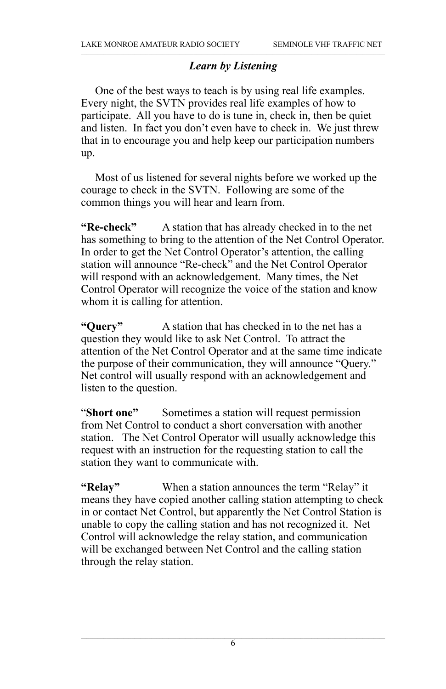#### *Learn by Listening*

 One of the best ways to teach is by using real life examples. Every night, the SVTN provides real life examples of how to participate. All you have to do is tune in, check in, then be quiet and listen. In fact you don't even have to check in. We just threw that in to encourage you and help keep our participation numbers up.

 Most of us listened for several nights before we worked up the courage to check in the SVTN. Following are some of the common things you will hear and learn from.

**"Re-check"** A station that has already checked in to the net has something to bring to the attention of the Net Control Operator. In order to get the Net Control Operator's attention, the calling station will announce "Re-check" and the Net Control Operator will respond with an acknowledgement. Many times, the Net Control Operator will recognize the voice of the station and know whom it is calling for attention.

**"Query"** A station that has checked in to the net has a question they would like to ask Net Control. To attract the attention of the Net Control Operator and at the same time indicate the purpose of their communication, they will announce "Query." Net control will usually respond with an acknowledgement and listen to the question.

"**Short one"** Sometimes a station will request permission from Net Control to conduct a short conversation with another station. The Net Control Operator will usually acknowledge this request with an instruction for the requesting station to call the station they want to communicate with.

**"Relay"** When a station announces the term "Relay" it means they have copied another calling station attempting to check in or contact Net Control, but apparently the Net Control Station is unable to copy the calling station and has not recognized it. Net Control will acknowledge the relay station, and communication will be exchanged between Net Control and the calling station through the relay station.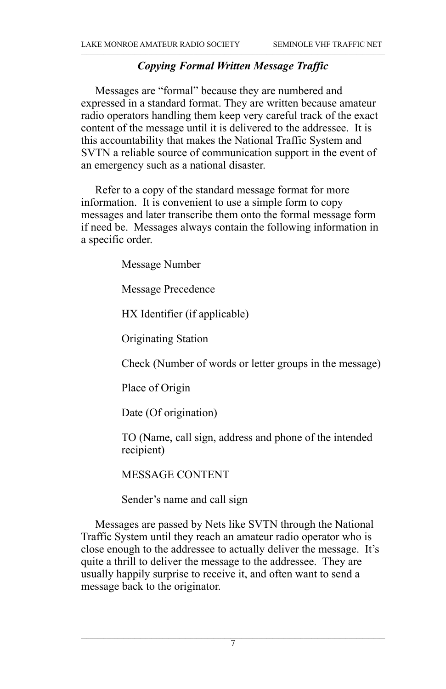#### *Copying Formal Written Message Traffic*

 Messages are "formal" because they are numbered and expressed in a standard format. They are written because amateur radio operators handling them keep very careful track of the exact content of the message until it is delivered to the addressee. It is this accountability that makes the National Traffic System and SVTN a reliable source of communication support in the event of an emergency such as a national disaster.

 Refer to a copy of the standard message format for more information. It is convenient to use a simple form to copy messages and later transcribe them onto the formal message form if need be. Messages always contain the following information in a specific order.

Message Number

Message Precedence

HX Identifier (if applicable)

Originating Station

Check (Number of words or letter groups in the message)

Place of Origin

Date (Of origination)

TO (Name, call sign, address and phone of the intended recipient)

MESSAGE CONTENT

Sender's name and call sign

 Messages are passed by Nets like SVTN through the National Traffic System until they reach an amateur radio operator who is close enough to the addressee to actually deliver the message. It's quite a thrill to deliver the message to the addressee. They are usually happily surprise to receive it, and often want to send a message back to the originator.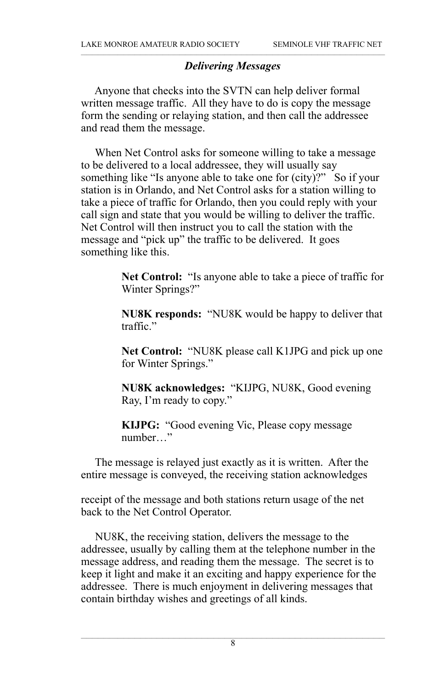#### *Delivering Messages*

 Anyone that checks into the SVTN can help deliver formal written message traffic. All they have to do is copy the message form the sending or relaying station, and then call the addressee and read them the message.

 When Net Control asks for someone willing to take a message to be delivered to a local addressee, they will usually say something like "Is anyone able to take one for (city)?" So if your station is in Orlando, and Net Control asks for a station willing to take a piece of traffic for Orlando, then you could reply with your call sign and state that you would be willing to deliver the traffic. Net Control will then instruct you to call the station with the message and "pick up" the traffic to be delivered. It goes something like this.

> **Net Control:** "Is anyone able to take a piece of traffic for Winter Springs?"

> **NU8K responds:** "NU8K would be happy to deliver that traffic."

> **Net Control:** "NU8K please call K1JPG and pick up one for Winter Springs."

**NU8K acknowledges:** "KIJPG, NU8K, Good evening Ray, I'm ready to copy."

**KIJPG:** "Good evening Vic, Please copy message number…"

 The message is relayed just exactly as it is written. After the entire message is conveyed, the receiving station acknowledges

receipt of the message and both stations return usage of the net back to the Net Control Operator.

 NU8K, the receiving station, delivers the message to the addressee, usually by calling them at the telephone number in the message address, and reading them the message. The secret is to keep it light and make it an exciting and happy experience for the addressee. There is much enjoyment in delivering messages that contain birthday wishes and greetings of all kinds.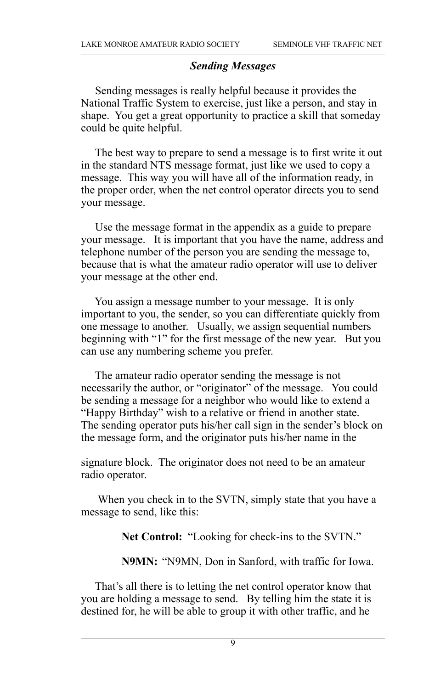#### *Sending Messages*

 Sending messages is really helpful because it provides the National Traffic System to exercise, just like a person, and stay in shape. You get a great opportunity to practice a skill that someday could be quite helpful.

 The best way to prepare to send a message is to first write it out in the standard NTS message format, just like we used to copy a message. This way you will have all of the information ready, in the proper order, when the net control operator directs you to send your message.

 Use the message format in the appendix as a guide to prepare your message. It is important that you have the name, address and telephone number of the person you are sending the message to, because that is what the amateur radio operator will use to deliver your message at the other end.

 You assign a message number to your message. It is only important to you, the sender, so you can differentiate quickly from one message to another. Usually, we assign sequential numbers beginning with "1" for the first message of the new year. But you can use any numbering scheme you prefer.

 The amateur radio operator sending the message is not necessarily the author, or "originator" of the message. You could be sending a message for a neighbor who would like to extend a "Happy Birthday" wish to a relative or friend in another state. The sending operator puts his/her call sign in the sender's block on the message form, and the originator puts his/her name in the

signature block. The originator does not need to be an amateur radio operator.

 When you check in to the SVTN, simply state that you have a message to send, like this:

**Net Control:** "Looking for check-ins to the SVTN."

**N9MN:** "N9MN, Don in Sanford, with traffic for Iowa.

 That's all there is to letting the net control operator know that you are holding a message to send. By telling him the state it is destined for, he will be able to group it with other traffic, and he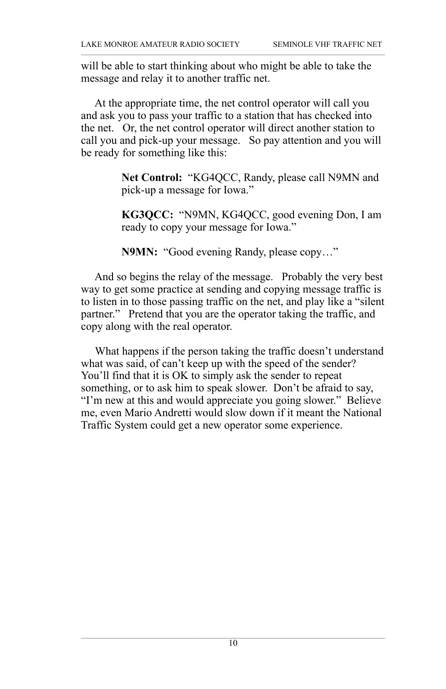will be able to start thinking about who might be able to take the message and relay it to another traffic net.

 At the appropriate time, the net control operator will call you and ask you to pass your traffic to a station that has checked into the net. Or, the net control operator will direct another station to call you and pick-up your message. So pay attention and you will be ready for something like this:

> **Net Control:** "KG4QCC, Randy, please call N9MN and pick-up a message for Iowa."

> **KG3QCC:** "N9MN, KG4QCC, good evening Don, I am ready to copy your message for Iowa."

**N9MN:** "Good evening Randy, please copy…"

 And so begins the relay of the message. Probably the very best way to get some practice at sending and copying message traffic is to listen in to those passing traffic on the net, and play like a "silent partner." Pretend that you are the operator taking the traffic, and copy along with the real operator.

 What happens if the person taking the traffic doesn't understand what was said, of can't keep up with the speed of the sender? You'll find that it is OK to simply ask the sender to repeat something, or to ask him to speak slower. Don't be afraid to say, "I'm new at this and would appreciate you going slower." Believe me, even Mario Andretti would slow down if it meant the National Traffic System could get a new operator some experience.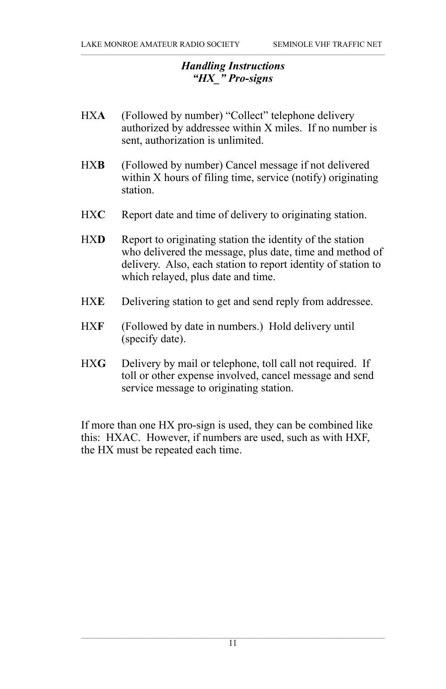#### *Handling Instructions "HX\_" Pro-signs*

- HXA (Followed by number) "Collect" telephone delivery authorized by addressee within X miles. If no number is sent, authorization is unlimited.
- HX**B** (Followed by number) Cancel message if not delivered within X hours of filing time, service (notify) originating station.
- HXC Report date and time of delivery to originating station.
- HXD Report to originating station the identity of the station who delivered the message, plus date, time and method of delivery. Also, each station to report identity of station to which relayed, plus date and time.
- HX**E** Delivering station to get and send reply from addressee.
- HX**F** (Followed by date in numbers.) Hold delivery until (specify date).
- HXG Delivery by mail or telephone, toll call not required. If toll or other expense involved, cancel message and send service message to originating station.

If more than one HX pro-sign is used, they can be combined like this: HXAC. However, if numbers are used, such as with HXF, the HX must be repeated each time.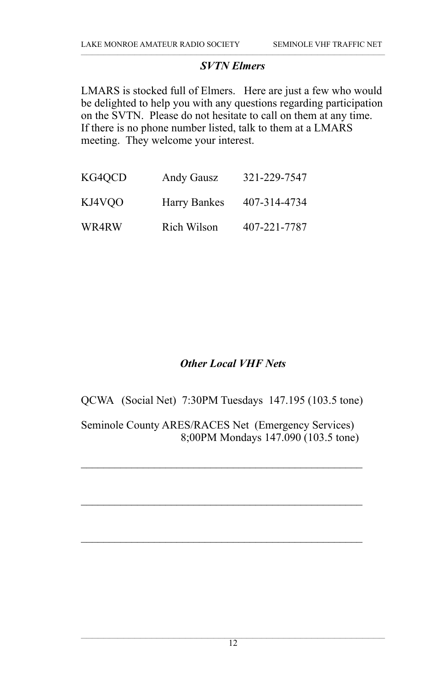#### *SVTN Elmers*

LMARS is stocked full of Elmers. Here are just a few who would be delighted to help you with any questions regarding participation on the SVTN. Please do not hesitate to call on them at any time. If there is no phone number listed, talk to them at a LMARS meeting. They welcome your interest.

| KG4OCD | Andy Gausz   | 321-229-7547 |
|--------|--------------|--------------|
| KJ4VOO | Harry Bankes | 407-314-4734 |
| WR4RW  | Rich Wilson  | 407-221-7787 |

#### *Other Local VHF Nets*

QCWA (Social Net) 7:30PM Tuesdays 147.195 (103.5 tone)

Seminole County ARES/RACES Net (Emergency Services) 8;00PM Mondays 147.090 (103.5 tone)

 $\mathcal{L}_\text{max}$  and  $\mathcal{L}_\text{max}$  and  $\mathcal{L}_\text{max}$  and  $\mathcal{L}_\text{max}$  and  $\mathcal{L}_\text{max}$ 

 $\mathcal{L}_\text{max}$  and  $\mathcal{L}_\text{max}$  and  $\mathcal{L}_\text{max}$  and  $\mathcal{L}_\text{max}$  and  $\mathcal{L}_\text{max}$ 

 $\mathcal{L}_\text{max}$  and  $\mathcal{L}_\text{max}$  and  $\mathcal{L}_\text{max}$  and  $\mathcal{L}_\text{max}$  and  $\mathcal{L}_\text{max}$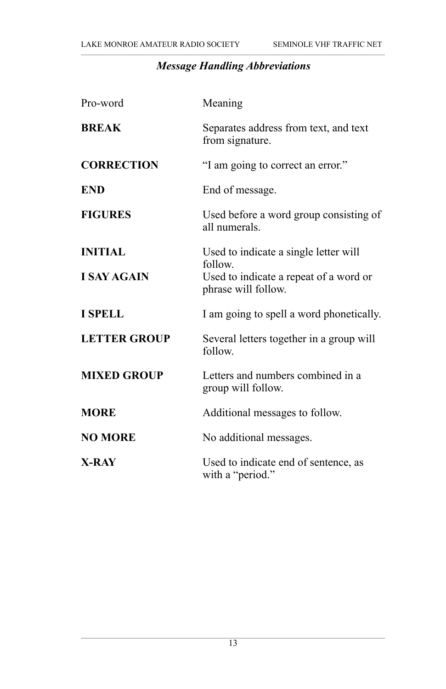# *Message Handling Abbreviations*

| Pro-word            | Meaning                                                       |
|---------------------|---------------------------------------------------------------|
| <b>BREAK</b>        | Separates address from text, and text<br>from signature.      |
| <b>CORRECTION</b>   | "I am going to correct an error."                             |
| <b>END</b>          | End of message.                                               |
| <b>FIGURES</b>      | Used before a word group consisting of<br>all numerals.       |
| <b>INITIAL</b>      | Used to indicate a single letter will<br>follow.              |
| <b>I SAY AGAIN</b>  | Used to indicate a repeat of a word or<br>phrase will follow. |
| <b>I SPELL</b>      | I am going to spell a word phonetically.                      |
| <b>LETTER GROUP</b> | Several letters together in a group will<br>follow.           |
| <b>MIXED GROUP</b>  | Letters and numbers combined in a<br>group will follow.       |
| <b>MORE</b>         | Additional messages to follow.                                |
| <b>NO MORE</b>      | No additional messages.                                       |
| <b>X-RAY</b>        | Used to indicate end of sentence, as<br>with a "period."      |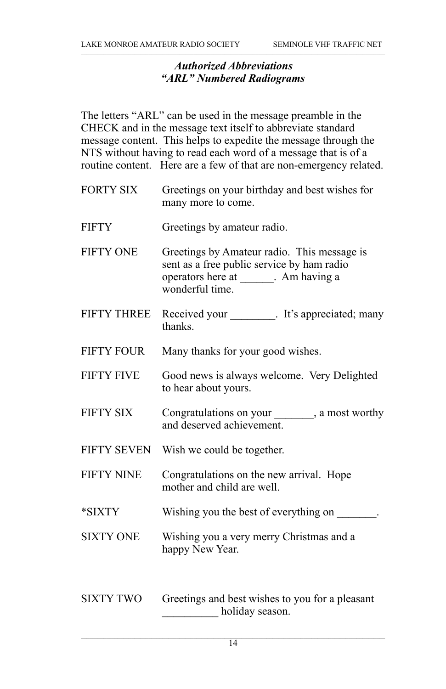#### *Authorized Abbreviations "ARL" Numbered Radiograms*

The letters "ARL" can be used in the message preamble in the CHECK and in the message text itself to abbreviate standard message content. This helps to expedite the message through the NTS without having to read each word of a message that is of a routine content. Here are a few of that are non-emergency related.

- FORTY SIX Greetings on your birthday and best wishes for many more to come.
- FIFTY Greetings by amateur radio.
- FIFTY ONE Greetings by Amateur radio. This message is sent as a free public service by ham radio operators here at \_\_\_\_\_\_. Am having a wonderful time.
- FIFTY THREE Received your \_\_\_\_\_\_\_\_. It's appreciated; many thanks.
- FIFTY FOUR Many thanks for your good wishes.
- FIFTY FIVE Good news is always welcome. Very Delighted to hear about yours.
- FIFTY SIX Congratulations on your , a most worthy and deserved achievement.
- FIFTY SEVEN Wish we could be together.
- FIFTY NINE Congratulations on the new arrival. Hope mother and child are well.
- \*SIXTY Wishing you the best of everything on \_\_\_\_\_\_\_.
- SIXTY ONE Wishing you a very merry Christmas and a happy New Year.
- SIXTY TWO Greetings and best wishes to you for a pleasant holiday season.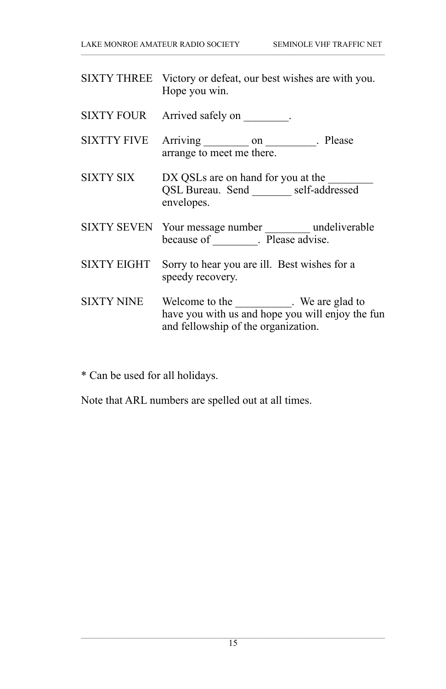|                    | SIXTY THREE Victory or defeat, our best wishes are with you.<br>Hope you win.                                                          |
|--------------------|----------------------------------------------------------------------------------------------------------------------------------------|
|                    | SIXTY FOUR Arrived safely on ________.                                                                                                 |
| SIXTTY FIVE        | Arriving __________ on __________. Please<br>arrange to meet me there.                                                                 |
| SIXTY SIX          | DX QSLs are on hand for you at the<br>QSL Bureau. Send self-addressed<br>envelopes.                                                    |
|                    | SIXTY SEVEN Your message number _________ undeliverable<br>because of _________. Please advise.                                        |
| <b>SIXTY EIGHT</b> | Sorry to hear you are ill. Best wishes for a<br>speedy recovery.                                                                       |
| <b>SIXTY NINE</b>  | Welcome to the ____________. We are glad to<br>have you with us and hope you will enjoy the fun<br>and fellowship of the organization. |

\* Can be used for all holidays.

Note that ARL numbers are spelled out at all times.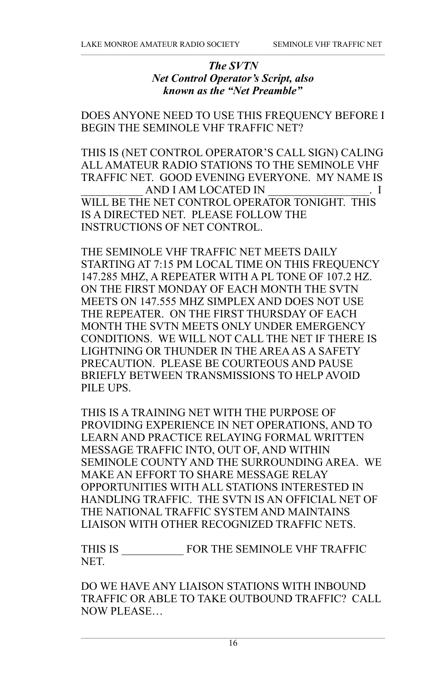#### *The SVTN Net Control Operator's Script, also known as the "Net Preamble"*

DOES ANYONE NEED TO USE THIS FREQUENCY BEFORE I BEGIN THE SEMINOLE VHF TRAFFIC NET?

THIS IS (NET CONTROL OPERATOR'S CALL SIGN) CALING ALL AMATEUR RADIO STATIONS TO THE SEMINOLE VHF TRAFFIC NET. GOOD EVENING EVERYONE. MY NAME IS AND I AM LOCATED IN  $\qquad \qquad$  . I WILL BE THE NET CONTROL OPERATOR TONIGHT. THIS IS A DIRECTED NET. PLEASE FOLLOW THE INSTRUCTIONS OF NET CONTROL.

THE SEMINOLE VHF TRAFFIC NET MEETS DAILY STARTING AT 7:15 PM LOCAL TIME ON THIS FREQUENCY 147.285 MHZ, A REPEATER WITH A PL TONE OF 107.2 HZ. ON THE FIRST MONDAY OF EACH MONTH THE SVTN MEETS ON 147.555 MHZ SIMPLEX AND DOES NOT USE THE REPEATER. ON THE FIRST THURSDAY OF EACH MONTH THE SVTN MEETS ONLY UNDER EMERGENCY CONDITIONS. WE WILL NOT CALL THE NET IF THERE IS LIGHTNING OR THUNDER IN THE AREA AS A SAFETY PRECAUTION. PLEASE BE COURTEOUS AND PAUSE BRIEFLY BETWEEN TRANSMISSIONS TO HELP AVOID PILE UPS.

THIS IS A TRAINING NET WITH THE PURPOSE OF PROVIDING EXPERIENCE IN NET OPERATIONS, AND TO LEARN AND PRACTICE RELAYING FORMAL WRITTEN MESSAGE TRAFFIC INTO, OUT OF, AND WITHIN SEMINOLE COUNTY AND THE SURROUNDING AREA. WE MAKE AN EFFORT TO SHARE MESSAGE RELAY OPPORTUNITIES WITH ALL STATIONS INTERESTED IN HANDLING TRAFFIC. THE SVTN IS AN OFFICIAL NET OF THE NATIONAL TRAFFIC SYSTEM AND MAINTAINS LIAISON WITH OTHER RECOGNIZED TRAFFIC NETS.

THIS IS \_\_\_\_\_\_\_\_\_\_\_ FOR THE SEMINOLE VHF TRAFFIC NET.

DO WE HAVE ANY LIAISON STATIONS WITH INBOUND TRAFFIC OR ABLE TO TAKE OUTBOUND TRAFFIC? CALL NOW PLEASE…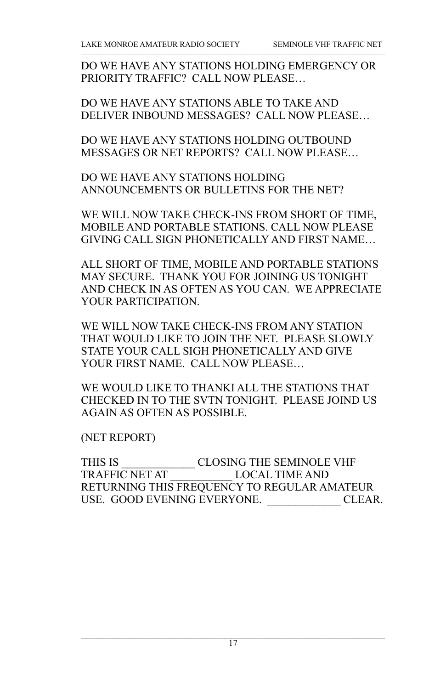DO WE HAVE ANY STATIONS HOLDING EMERGENCY OR PRIORITY TRAFFIC? CALL NOW PLEASE…

DO WE HAVE ANY STATIONS ABLE TO TAKE AND DELIVER INBOUND MESSAGES? CALL NOW PLEASE…

DO WE HAVE ANY STATIONS HOLDING OUTBOUND MESSAGES OR NET REPORTS? CALL NOW PLEASE…

DO WE HAVE ANY STATIONS HOLDING ANNOUNCEMENTS OR BULLETINS FOR THE NET?

WE WILL NOW TAKE CHECK-INS FROM SHORT OF TIME, MOBILE AND PORTABLE STATIONS. CALL NOW PLEASE GIVING CALL SIGN PHONETICALLY AND FIRST NAME…

ALL SHORT OF TIME, MOBILE AND PORTABLE STATIONS MAY SECURE. THANK YOU FOR JOINING US TONIGHT AND CHECK IN AS OFTEN AS YOU CAN. WE APPRECIATE YOUR PARTICIPATION.

WE WILL NOW TAKE CHECK-INS FROM ANY STATION THAT WOULD LIKE TO JOIN THE NET. PLEASE SLOWLY STATE YOUR CALL SIGH PHONETICALLY AND GIVE YOUR FIRST NAME. CALL NOW PLEASE…

WE WOULD LIKE TO THANKI ALL THE STATIONS THAT CHECKED IN TO THE SVTN TONIGHT. PLEASE JOIND US AGAIN AS OFTEN AS POSSIBLE.

(NET REPORT)

THIS IS \_\_\_\_\_\_\_\_\_\_\_\_\_ CLOSING THE SEMINOLE VHF TRAFFIC NET AT \_\_\_\_\_\_\_\_\_\_\_ LOCAL TIME AND RETURNING THIS FREQUENCY TO REGULAR AMATEUR USE. GOOD EVENING EVERYONE. CLEAR.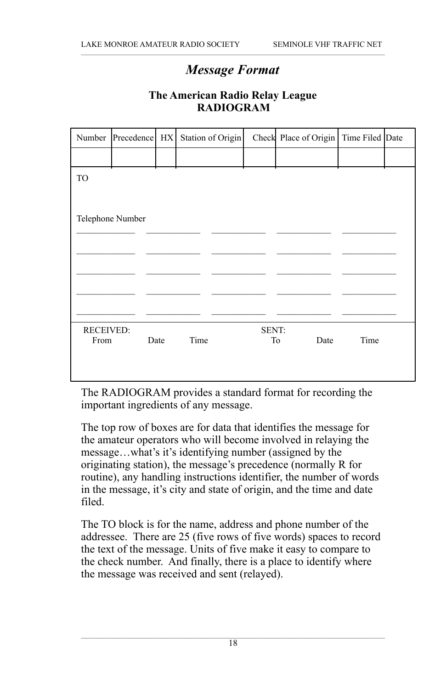# *Message Format*

| Number                   | Precedence HX    |      | Station of Origin |             | Check Place of Origin   Time Filed Date |      |  |
|--------------------------|------------------|------|-------------------|-------------|-----------------------------------------|------|--|
|                          |                  |      |                   |             |                                         |      |  |
| TO                       |                  |      |                   |             |                                         |      |  |
|                          |                  |      |                   |             |                                         |      |  |
|                          | Telephone Number |      |                   |             |                                         |      |  |
|                          |                  |      |                   |             |                                         |      |  |
|                          |                  |      |                   |             |                                         |      |  |
|                          |                  |      |                   |             |                                         |      |  |
|                          |                  |      |                   |             |                                         |      |  |
|                          |                  |      |                   |             |                                         |      |  |
| <b>RECEIVED:</b><br>From |                  | Date | Time              | SENT:<br>To | Date                                    | Time |  |
|                          |                  |      |                   |             |                                         |      |  |
|                          |                  |      |                   |             |                                         |      |  |

#### **The American Radio Relay League RADIOGRAM**

The RADIOGRAM provides a standard format for recording the important ingredients of any message.

The top row of boxes are for data that identifies the message for the amateur operators who will become involved in relaying the message…what's it's identifying number (assigned by the originating station), the message's precedence (normally R for routine), any handling instructions identifier, the number of words in the message, it's city and state of origin, and the time and date filed.

The TO block is for the name, address and phone number of the addressee. There are 25 (five rows of five words) spaces to record the text of the message. Units of five make it easy to compare to the check number. And finally, there is a place to identify where the message was received and sent (relayed).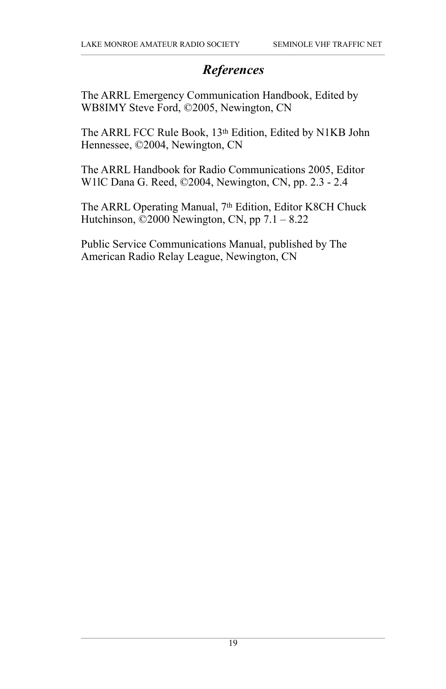# *References*

The ARRL Emergency Communication Handbook, Edited by WB8IMY Steve Ford, ©2005, Newington, CN

The ARRL FCC Rule Book, 13<sup>th</sup> Edition, Edited by N1KB John Hennessee, ©2004, Newington, CN

The ARRL Handbook for Radio Communications 2005, Editor W1lC Dana G. Reed, ©2004, Newington, CN, pp. 2.3 - 2.4

The ARRL Operating Manual, 7<sup>th</sup> Edition, Editor K8CH Chuck Hutchinson,  $\ddot{\odot}$ 2000 Newington, CN, pp 7.1 – 8.22

Public Service Communications Manual, published by The American Radio Relay League, Newington, CN